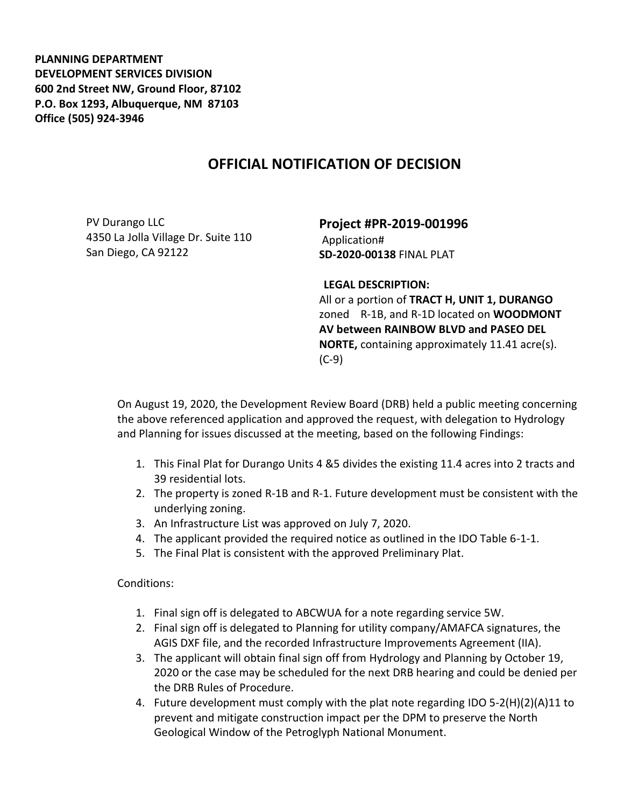**PLANNING DEPARTMENT DEVELOPMENT SERVICES DIVISION 600 2nd Street NW, Ground Floor, 87102 P.O. Box 1293, Albuquerque, NM 87103 Office (505) 924-3946** 

## **OFFICIAL NOTIFICATION OF DECISION**

PV Durango LLC 4350 La Jolla Village Dr. Suite 110 San Diego, CA 92122

**Project #PR-2019-001996** Application# **SD-2020-00138** FINAL PLAT

## **LEGAL DESCRIPTION:**

All or a portion of **TRACT H, UNIT 1, DURANGO** zoned R-1B, and R-1D located on **WOODMONT AV between RAINBOW BLVD and PASEO DEL NORTE,** containing approximately 11.41 acre(s). (C-9)

On August 19, 2020, the Development Review Board (DRB) held a public meeting concerning the above referenced application and approved the request, with delegation to Hydrology and Planning for issues discussed at the meeting, based on the following Findings:

- 1. This Final Plat for Durango Units 4 &5 divides the existing 11.4 acres into 2 tracts and 39 residential lots.
- 2. The property is zoned R-1B and R-1. Future development must be consistent with the underlying zoning.
- 3. An Infrastructure List was approved on July 7, 2020.
- 4. The applicant provided the required notice as outlined in the IDO Table 6-1-1.
- 5. The Final Plat is consistent with the approved Preliminary Plat.

Conditions:

- 1. Final sign off is delegated to ABCWUA for a note regarding service 5W.
- 2. Final sign off is delegated to Planning for utility company/AMAFCA signatures, the AGIS DXF file, and the recorded Infrastructure Improvements Agreement (IIA).
- 3. The applicant will obtain final sign off from Hydrology and Planning by October 19, 2020 or the case may be scheduled for the next DRB hearing and could be denied per the DRB Rules of Procedure.
- 4. Future development must comply with the plat note regarding IDO 5-2(H)(2)(A)11 to prevent and mitigate construction impact per the DPM to preserve the North Geological Window of the Petroglyph National Monument.